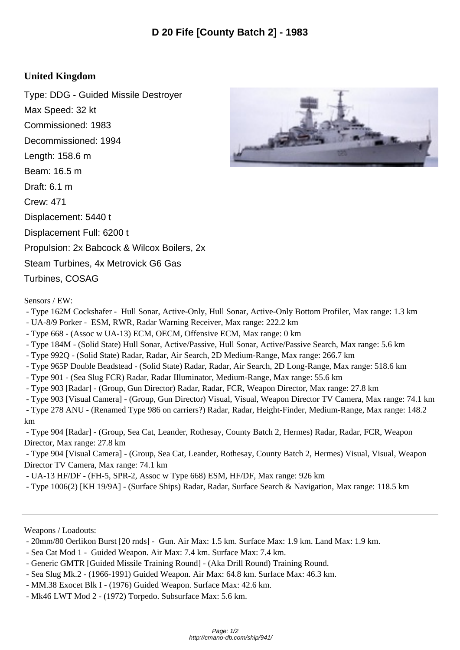## **United Kingdom**

Type: DDG - Guided Missile Destroyer Max Speed: 32 kt Commissioned: 1983 Decommissioned: 1994 Length: 158.6 m Beam: 16.5 m Draft: 6.1 m Crew: 471 Displacement: 5440 t Displacement Full: 6200 t Propulsion: 2x Babcock & Wilcox Boilers, 2x Steam Turbines, 4x Metrovick G6 Gas Turbines, COSAG

Sensors / EW:

- Type 162M Cockshafer Hull Sonar, Active-Only, Hull Sonar, Active-Only Bottom Profiler, Max range: 1.3 km
- UA-8/9 Porker ESM, RWR, Radar Warning Receiver, Max range: 222.2 km
- Type 668 (Assoc w UA-13) ECM, OECM, Offensive ECM, Max range: 0 km
- Type 184M (Solid State) Hull Sonar, Active/Passive, Hull Sonar, Active/Passive Search, Max range: 5.6 km
- Type 992Q (Solid State) Radar, Radar, Air Search, 2D Medium-Range, Max range: 266.7 km
- Type 965P Double Beadstead (Solid State) Radar, Radar, Air Search, 2D Long-Range, Max range: 518.6 km
- Type 901 (Sea Slug FCR) Radar, Radar Illuminator, Medium-Range, Max range: 55.6 km
- Type 903 [Radar] (Group, Gun Director) Radar, Radar, FCR, Weapon Director, Max range: 27.8 km
- Type 903 [Visual Camera] (Group, Gun Director) Visual, Visual, Weapon Director TV Camera, Max range: 74.1 km

 - Type 278 ANU - (Renamed Type 986 on carriers?) Radar, Radar, Height-Finder, Medium-Range, Max range: 148.2 km

 - Type 904 [Radar] - (Group, Sea Cat, Leander, Rothesay, County Batch 2, Hermes) Radar, Radar, FCR, Weapon Director, Max range: 27.8 km

 - Type 904 [Visual Camera] - (Group, Sea Cat, Leander, Rothesay, County Batch 2, Hermes) Visual, Visual, Weapon Director TV Camera, Max range: 74.1 km

- UA-13 HF/DF - (FH-5, SPR-2, Assoc w Type 668) ESM, HF/DF, Max range: 926 km

- Type 1006(2) [KH 19/9A] - (Surface Ships) Radar, Radar, Surface Search & Navigation, Max range: 118.5 km

Weapons / Loadouts:

- 20mm/80 Oerlikon Burst [20 rnds] Gun. Air Max: 1.5 km. Surface Max: 1.9 km. Land Max: 1.9 km.
- Sea Cat Mod 1 Guided Weapon. Air Max: 7.4 km. Surface Max: 7.4 km.
- Generic GMTR [Guided Missile Training Round] (Aka Drill Round) Training Round.
- Sea Slug Mk.2 (1966-1991) Guided Weapon. Air Max: 64.8 km. Surface Max: 46.3 km.
- MM.38 Exocet Blk I (1976) Guided Weapon. Surface Max: 42.6 km.
- Mk46 LWT Mod 2 (1972) Torpedo. Subsurface Max: 5.6 km.